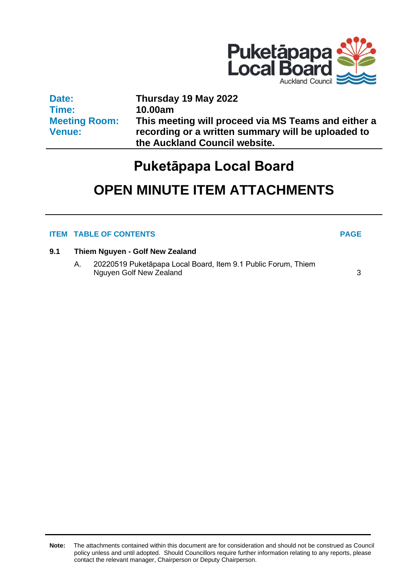

| Date:                | Thursday 19 May 2022                                |
|----------------------|-----------------------------------------------------|
| Time:                | 10.00am                                             |
| <b>Meeting Room:</b> | This meeting will proceed via MS Teams and either a |
| <b>Venue:</b>        | recording or a written summary will be uploaded to  |
|                      | the Auckland Council website.                       |

## **Puketāpapa Local Board**

# **OPEN MINUTE ITEM ATTACHMENTS**

## **ITEM TABLE OF CONTENTS PAGE**

### **9.1 Thiem Nguyen - Golf New Zealand**

A. 20220519 Puketāpapa Local Board, Item 9.1 Public Forum, Thiem Nguyen Golf New Zealand [3](#page-2-0)

**Note:** The attachments contained within this document are for consideration and should not be construed as Council policy unless and until adopted. Should Councillors require further information relating to any reports, please contact the relevant manager, Chairperson or Deputy Chairperson.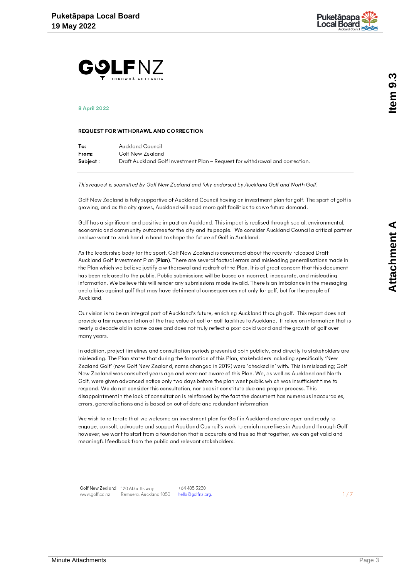

<span id="page-2-0"></span>

#### **8 April 2022**

#### REQUEST FOR WITHDRAWL AND CORRECTION

| To:       | Auckland Council                                                             |
|-----------|------------------------------------------------------------------------------|
| From:     | Golf New Zealand                                                             |
| Subject : | Draft Auckland Golf Investment Plan – Request for withdrawal and correction. |

This request is submitted by Golf New Zealand and fully endorsed by Auckland Golf and North Golf.

Golf New Zealand is fully supportive of Auckland Council having an investment plan for golf. The sport of golf is growing, and as the city grows, Auckland will need more golf facilities to serve future demand.

Golf has a significant and positive impact on Auckland. This impact is realised through social, environmental, economic and community outcomes for the city and its people. We consider Auckland Council a critical partner and we want to work hand in hand to shape the future of Golf in Auckland.

As the leadership body for the sport, Golf New Zealand is concerned about the recently released Draft Auckland Golf Investment Plan (Plan). There are several factual errors and misleading generalisations made in the Plan which we believe justify a withdrawal and redraft of the Plan. It is of great concern that this document has been released to the public. Public submissions will be based on incorrect, inaccurate, and misleading information. We believe this will render any submissions made invalid. There is an imbalance in the messaging and a bias against golf that may have detrimental consequences not only for golf, but for the people of Auckland.

Our vision is to be an integral part of Auckland's future, enriching Auckland through golf. This report does not provide a fair representation of the true value of golf or golf facilities to Auckland. It relies on information that is nearly a decade old in some cases and does not truly reflect a post covid world and the arowth of golf over many years.

In addition, project timelines and consultation periods presented both publicly, and directly to stakeholders are misleading. The Plan states that during the formation of this Plan, stakeholders including specifically 'New Zealand Golf' (now Golf New Zealand, name changed in 2019) were 'checked in' with. This is misleading; Golf New Zealand was consulted years ago and were not aware of this Plan. We, as well as Auckland and North Golf, were given advanced notice only two days before the plan went public which was insufficient time to respond. We do not consider this consultation, nor does it constitute due and proper process. This disappointment in the lack of consultation is reinforced by the fact the document has numerous inaccuracies, errors, generalisations and is based on out of date and redundant information.

We wish to reiterate that we welcome an investment plan for Golf in Auckland and are open and ready to engage, consult, advocate and support Auckland Council's work to enrich more lives in Auckland through Golf however, we want to start from a foundation that is accurate and true so that together, we can get valid and meaningful feedback from the public and relevant stakeholders.

Golf New Zealand 120 Abbotts way  $+644853230$ Remuera, Auckland 1050 hello@golfnz.org. www.golf.co.nz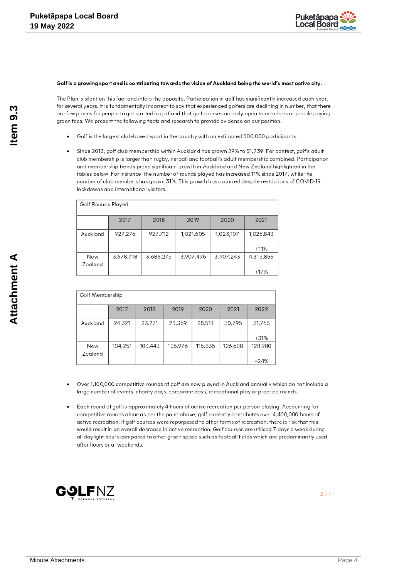

#### Golf is a growing sport and is contributing towards the vision of Auckland being the world's most active city.

The Plan is silent on this fact and infers the opposite. Participation in golf has significantly increased each year, for several years. It is fundamentally incorrect to say that experienced golfers are declining in number, that there are few places for people to get started in golf and that golf courses are only open to members or people paying green fees. We present the following facts and research to provide evidence on our position.

- Golf is the largest club-based sport in the country with an estimated 500,000 participants.
- Since 2013, golf club membership within Auckland has grown 29% to 31,739. For context, golf's adult club membership is larger than rugby, netball and football's adult membership combined. Participation and membership trends prove significant growth in Auckland and New Zealand highlighted in the tables below. For instance, the number of rounds played has increased 11% since 2017, while the number of club members has grown 31%. This growth has occurred despite restrictions of COVID-19 lockdowns and international visitors.

| Golf Rounds Played |           |           |           |           |                     |  |  |
|--------------------|-----------|-----------|-----------|-----------|---------------------|--|--|
|                    | 2017      | 2018      | 2019      | 2020      | 2021                |  |  |
| Auckland           | 927,276   | 927,712   | 1,021,605 | 1,023,107 | 1,026,843<br>$+11%$ |  |  |
| New<br>Zealand     | 3,678,718 | 3,686,275 | 3,907,495 | 3,907,243 | 4,315,855<br>$+17%$ |  |  |

| Golf Membership |         |         |         |         |         |                   |  |  |
|-----------------|---------|---------|---------|---------|---------|-------------------|--|--|
|                 | 2017    | 2018    | 2019    | 2020    | 2021    | 2022              |  |  |
| Auckland        | 24,321  | 23,271  | 23,369  | 28,514  | 30,795  | 31,765<br>$+31%$  |  |  |
| New<br>Zealand  | 104,251 | 103,443 | 105,976 | 115,835 | 126,608 | 128,980<br>$+24%$ |  |  |

- Over 1,100,000 competitive rounds of golf are now played in Auckland annually which do not include a large number of events, charity days, corporate days, recreational play or practice rounds.
- Each round of golf is approximately 4 hours of active recreation per person playing. Accounting for competitive rounds alone as per the point above, golf currently contributes over 4,400,000 hours of active recreation. If golf courses were repurposed to other forms of recreation, there is risk that this would result in an overall decrease in active recreation. Golf courses are utilised 7 days a week during all daylight hours compared to other green space such as football fields which are predominantly used after hours or at weekends.

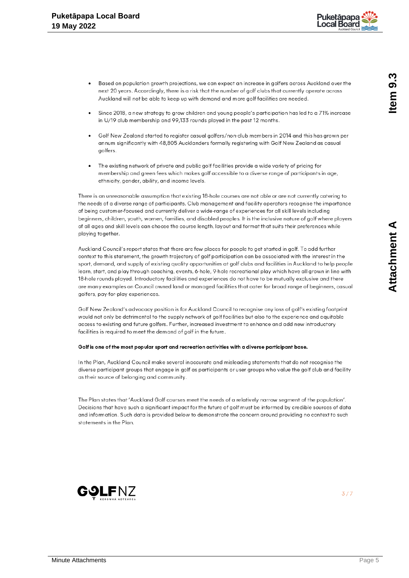

- Based on population growth projections, we can expect an increase in golfers across Auckland over the next 20 years. Accordingly, there is a risk that the number of golf clubs that currently operate across Auckland will not be able to keep up with demand and more golf facilities are needed.
- Since 2018, a new strategy to grow children and young people's participation has led to a 71% increase in U/19 club membership and 99,133 rounds played in the past 12 months.
- Golf New Zealand started to register casual golfers/non-club members in 2014 and this has grown per annum significantly with 48,805 Aucklanders formally registering with Golf New Zealand as casual golfers.
- The existing network of private and public golf facilities provide a wide variety of pricing for membership and green fees which makes golf accessible to a diverse range of participants in age, ethnicity, gender, ability, and income levels.

There is an unreasonable assumption that existing 18-hole courses are not able or are not currently catering to the needs of a diverse range of participants. Club management and facility operators recognise the importance of being customer-focused and currently deliver a wide-range of experiences for all skill levels including beginners, children, youth, women, families, and disabled peoples. It is the inclusive nature of golf where players of all ages and skill levels can choose the course length, layout and format that suits their preferences while playing together.

Auckland Council's report states that there are few places for people to get started in golf. To add further context to this statement, the growth trajectory of golf participation can be associated with the interest in the sport, demand, and supply of existing quality opportunities at golf clubs and facilities in Auckland to help people learn, start, and play through coaching, events, 6-hole, 9-hole recreational play which have all grown in line with 18-hole rounds played. Introductory facilities and experiences do not have to be mutually exclusive and there are many examples on Council owned land or managed facilities that cater for broad range of beginners, casual golfers, pay-for-play experiences.

Golf New Zealand's advocacy position is for Auckland Council to recognise any loss of golf's existing footprint would not only be detrimental to the supply network of golf facilities but also to the experience and equitable access to existing and future golfers. Further, increased investment to enhance and add new introductory facilities is required to meet the demand of golf in the future.

#### Golf is one of the most popular sport and recreation activities with a diverse participant base.

In the Plan, Auckland Council make several inaccurate and misleading statements that do not recognise the diverse participant groups that engage in golf as participants or user groups who value the golf club and facility as their source of belonging and community.

The Plan states that 'Auckland Golf courses meet the needs of a relatively narrow segment of the population'. Decisions that have such a significant impact for the future of golf must be informed by credible sources of data and information. Such data is provided below to demonstrate the concern around providing no context to such statements in the Plan.

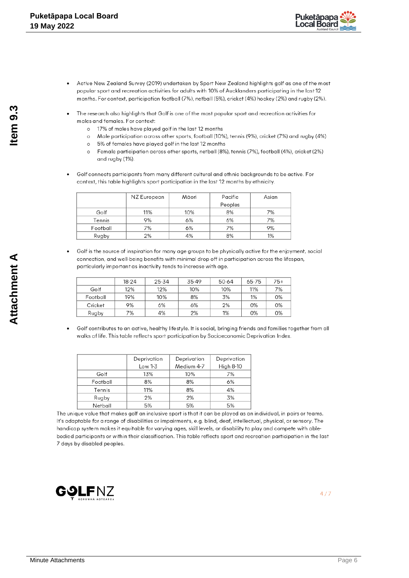

- Active New Zealand Survey (2019) undertaken by Sport New Zealand highlights golf as one of the most popular sport and recreation activities for adults with 10% of Aucklanders participating in the last 12 months. For context, participation football (7%), netball (5%), cricket (4%) hockey (2%) and rugby (2%).
- The research also highlights that Golf is one of the most popular sport and recreation activities for males and females. For context:
	- o 17% of males have played golf in the last 12 months
	- o Male participation across other sports, football (10%), tennis (9%), cricket (7%) and rugby (4%)
	- o 5% of females have played golf in the last 12 months
	- Female participation across other sports, netball (8%), tennis (7%), football (4%), cricket (2%)  $\sim$ and rugby (1%).
- Golf connects participants from many different cultural and ethnic backgrounds to be active. For context, this table highlights sport participation in the last 12 months by ethnicity.

|          | NZ European | Māori | Pacific | Asian |
|----------|-------------|-------|---------|-------|
|          |             |       | Peoples |       |
| Golf     | 11%         | 10%   | 8%      | 7%    |
| Tennis   | 9%          | 6%    | 6%      | 7%    |
| Football | 7%          | 6%    | 7%      | 9%    |
| Rugby    | 2%          | 4%    | 8%      | 1%    |

Golf is the source of inspiration for many age groups to be physically active for the enjoyment, social connection, and well-being benefits with minimal drop off in participation across the lifespan. particularly important as inactivity tends to increase with age.

|          | 18-24 | 25-34 | 35-49 | 50-64 | 65-75 | 75+ |
|----------|-------|-------|-------|-------|-------|-----|
| Golf     | 12%   | 12%   | 10%   | 10%   | 11%   | 7%  |
| Football | 19%   | 10%   | 8%    | 3%    | 1%    | 0%  |
| Cricket  | 9%    | 6%    | 6%    | 2%    | 0%    | 0%  |
| Rugby    | 7%    | 4%    | 2%    | 1%    | 0%    | 0%  |

Golf contributes to an active, healthy lifestyle. It is social, bringing friends and families together from all walks of life. This table reflects sport participation by Socioeconomic Deprivation Index.

|          | Deprivation | Deprivation                    | Deprivation |
|----------|-------------|--------------------------------|-------------|
|          | Low 1-3     | <b>High 8-10</b><br>Medium 4-7 |             |
| Golf     | 13%         | 10%                            | 7%          |
| Football | 8%          | 8%                             | 6%          |
| Tennis   | 11%         | 8%                             | 4%          |
| Rugby    | 2%          | 2%                             | 3%          |
| Netball  | 5%          | 5%                             | 5%          |

The unique value that makes golf an inclusive sport is that it can be played as an individual, in pairs or teams. It's adaptable for a range of disabilities or impairments, e.g. blind, deaf, intellectual, physical, or sensory. The handicap system makes it equitable for varying ages, skill levels, or disability to play and compete with ablebodied participants or within their classification. This table reflects sport and recreation participation in the last 7 days by disabled peoples.

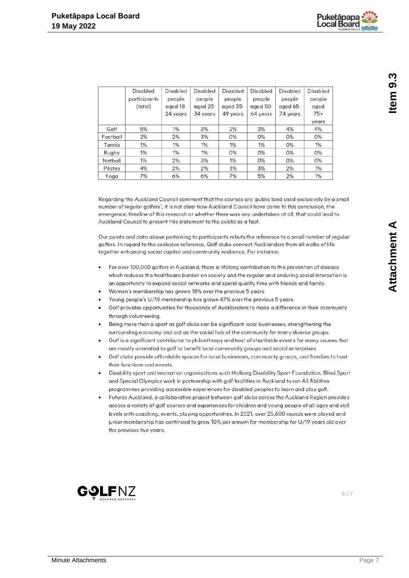|          | Disabled     | Disabled | Disabled | Disabled | Disabled | Disabled | Disabled |
|----------|--------------|----------|----------|----------|----------|----------|----------|
|          | participants | people   | people   | people   | people   | people   | people   |
|          | (total)      | aged 18- | aged 25- | aged 35- | aged 50- | aged 65- | aged     |
|          |              | 24 years | 34 years | 49 years | 64 years | 74 years | $75+$    |
|          |              |          |          |          |          |          | years    |
| Golf     | 5%           | 1%       | 3%       | 2%       | 3%       | 4%       | 4%       |
| Football | 2%           | 2%       | 3%       | 0%       | 0%       | 0%       | 0%       |
| Tennis   | 1%           | 1%       | 1%       | 1%       | 1%       | 0%       | 1%       |
| Rugby    | 1%           | 1%       | 1%       | 0%       | 0%       | 0%       | 0%       |
| Netball  | 1%           | 2%       | 3%       | 1%       | 0%       | 0%       | 0%       |
| Pilates  | 4%           | 2%       | 2%       | 3%       | 3%       | 2%       | 1%       |
| Yoga     | 7%           | 6%       | 6%       | 7%       | 5%       | 2%       | 1%       |

Regarding the Auckland Council comment that the courses are 'public land used exclusively by a small number of regular golfers', it is not clear how Auckland Council have come to this conclusion, the emergence, timeline of this research or whether there was any undertaken at all, that could lead to Auckland Council to present this statement to the public as a fact.

Our points and data above pertaining to participants rebuts the reference to a small number of regular golfers. In regard to the exclusive reference, Golf clubs connect Aucklanders from all walks of life together enhancing social capital and community resilience. For instance:

- $\bullet$ For over 100,000 golfers in Auckland, there is lifelong contribution to the prevention of disease which reduces the healthcare burden on society and the regular and enduring social interaction is an opportunity to expand social networks and spend quality time with friends and family.
- Women's membership has grown 18% over the previous 5 years.
- Young people's U/19 membership has grown 47% over the previous 5 years.
- Golf provides opportunities for thousands of Aucklanders to make a difference in their community through volunteering.
- Being more than a sport as golf clubs can be significant local businesses, strengthening the surrounding economy and act as the social hub of the community for many diverse groups.
- Golf is a significant contributor to philanthropy and host of charitable events for many causes that are mostly unrelated to golf to benefit local community groups and social enterprises.
- Golf clubs provide affordable spaces for local businesses, community groups, and families to host their functions and events.
- Disability sport and recreation organisations such Halberg Disability Sport Foundation, Blind Sport and Special Olympics work in partnership with golf facilities in Auckland to run All Abilities programmes providing accessible experiences for disabled peoples to learn and play golf.
- Futures Auckland, a collaborative project between golf clubs across the Auckland Region provides access a variety of golf courses and experiences for children and young people of all ages and skill levels with coaching, events, playing opportunities. In 2021, over 25,600 rounds were played and junior membership has continued to grow 10% per annum for membership for U/19 years old over the previous five years.

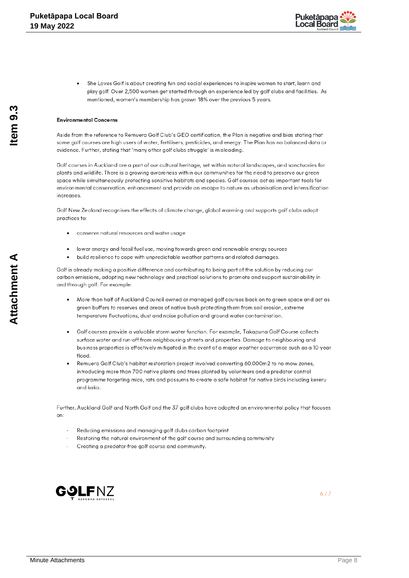

She Loves Golf is about creating fun and social experiences to inspire women to start, learn and play golf. Over 2.500 women get started through an experience led by golf clubs and facilities. As mentioned, women's membership has grown 18% over the previous 5 years.

#### **Environmental Concerns**

Aside from the reference to Remuera Golf Club's GEO certification, the Plan is negative and bias stating that some golf courses are high users of water, fertilisers, pesticides, and energy. The Plan has no balanced data or evidence. Further, stating that 'many other golf clubs struggle' is misleading.

Golf courses in Auckland are a part of our cultural heritage, set within natural landscapes, and sanctuaries for plants and wildlife. There is a growing awareness within our communities for the need to preserve our green space while simultaneously protecting sensitive habitats and species. Golf courses act as important tools for environmental conservation, enhancement and provide an escape to nature as urbanisation and intensification increases

Golf New Zealand recognises the effects of climate change, global warming and supports golf clubs adopt practices to:

- conserve natural resources and water usage
- lower energy and fossil fuel use, moving towards green and renewable energy sources
- build resilience to cope with unpredictable weather patterns and related damages.

Golf is already making a positive difference and contributing to being part of the solution by reducing our carbon emissions, adopting new technology and practical solutions to promote and support sustainability in and through golf. For example:

- More than half of Auckland Council owned or managed golf courses back on to green space and act as green buffers to reserves and areas of native bush protecting them from soil erosion, extreme temperature fluctuations, dust and noise pollution and ground water contamination.
- Golf courses provide a valuable storm water function. For example, Takapuna Golf Course collects surface water and run-off from neighbouring streets and properties. Damage to neighbouring and business properties is effectively mitigated in the event of a major weather occurrence such as a 10-year  $f$ lood
- Remuera Golf Club's habitat restoration project involved converting 60,000m2 to no mow zones, introducing more than 700 native plants and trees planted by volunteers and a predator control programme targeting mice, rats and possums to create a safe habitat for native birds including kereru and kaka.

Further, Auckland Golf and North Golf and the 37 golf clubs have adopted an environmental policy that focuses on:

- Reducing emissions and managing golf clubs carbon footprint
- Restoring the natural environment of the golf course and surrounding community
- Creating a predator-free golf course and community.